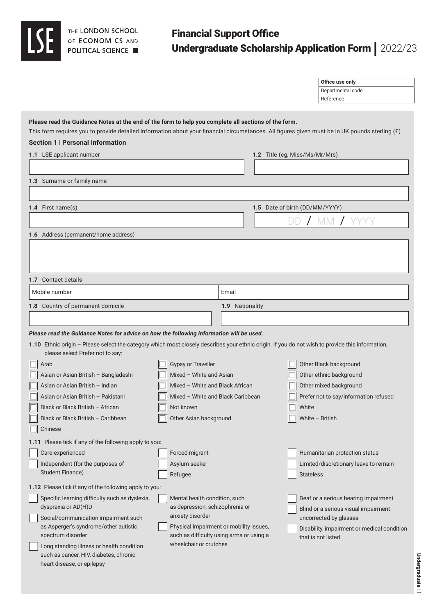# Financial Support Office Undergraduate Scholarship Application Form | 2022/23

|                                                                                                                                                                                                                                                                                                                         |                                   |                                                                                     |                                | Office use only<br>Departmental code        |  |
|-------------------------------------------------------------------------------------------------------------------------------------------------------------------------------------------------------------------------------------------------------------------------------------------------------------------------|-----------------------------------|-------------------------------------------------------------------------------------|--------------------------------|---------------------------------------------|--|
|                                                                                                                                                                                                                                                                                                                         |                                   |                                                                                     |                                | Reference                                   |  |
|                                                                                                                                                                                                                                                                                                                         |                                   |                                                                                     |                                |                                             |  |
| Please read the Guidance Notes at the end of the form to help you complete all sections of the form.<br>This form requires you to provide detailed information about your financial circumstances. All figures given must be in UK pounds sterling (£).<br>Section 1   Personal Information<br>1.1 LSE applicant number |                                   |                                                                                     | 1.2 Title (eg, Miss/Ms/Mr/Mrs) |                                             |  |
|                                                                                                                                                                                                                                                                                                                         |                                   |                                                                                     |                                |                                             |  |
| 1.3 Surname or family name                                                                                                                                                                                                                                                                                              |                                   |                                                                                     |                                |                                             |  |
|                                                                                                                                                                                                                                                                                                                         |                                   |                                                                                     |                                |                                             |  |
|                                                                                                                                                                                                                                                                                                                         |                                   |                                                                                     |                                |                                             |  |
| 1.4 First name(s)                                                                                                                                                                                                                                                                                                       |                                   |                                                                                     | 1.5 Date of birth (DD/MM/YYYY) |                                             |  |
|                                                                                                                                                                                                                                                                                                                         |                                   |                                                                                     |                                | DD / MM /                                   |  |
| 1.6 Address (permanent/home address)                                                                                                                                                                                                                                                                                    |                                   |                                                                                     |                                |                                             |  |
|                                                                                                                                                                                                                                                                                                                         |                                   |                                                                                     |                                |                                             |  |
| 1.7 Contact details                                                                                                                                                                                                                                                                                                     |                                   |                                                                                     |                                |                                             |  |
| Mobile number                                                                                                                                                                                                                                                                                                           |                                   | Email                                                                               |                                |                                             |  |
| 1.8 Country of permanent domicile                                                                                                                                                                                                                                                                                       |                                   | 1.9 Nationality                                                                     |                                |                                             |  |
|                                                                                                                                                                                                                                                                                                                         |                                   |                                                                                     |                                |                                             |  |
|                                                                                                                                                                                                                                                                                                                         |                                   |                                                                                     |                                |                                             |  |
| Please read the Guidance Notes for advice on how the following information will be used.<br>1.10 Ethnic origin - Please select the category which most closely describes your ethnic origin. If you do not wish to provide this information,<br>please select Prefer not to say:                                        |                                   |                                                                                     |                                |                                             |  |
| Arab                                                                                                                                                                                                                                                                                                                    | <b>Gypsy or Traveller</b>         |                                                                                     |                                | Other Black background                      |  |
| Asian or Asian British - Bangladeshi                                                                                                                                                                                                                                                                                    | Mixed - White and Asian           |                                                                                     |                                | Other ethnic background                     |  |
| Asian or Asian British - Indian                                                                                                                                                                                                                                                                                         | Mixed - White and Black African   |                                                                                     |                                | Other mixed background                      |  |
| Asian or Asian British - Pakistani                                                                                                                                                                                                                                                                                      | Mixed - White and Black Caribbean |                                                                                     |                                | Prefer not to say/information refused       |  |
| Black or Black British - African                                                                                                                                                                                                                                                                                        | Not known                         |                                                                                     | White                          |                                             |  |
| Black or Black British - Caribbean                                                                                                                                                                                                                                                                                      | Other Asian background            |                                                                                     |                                | White $-$ British                           |  |
| Chinese                                                                                                                                                                                                                                                                                                                 |                                   |                                                                                     |                                |                                             |  |
|                                                                                                                                                                                                                                                                                                                         |                                   |                                                                                     |                                |                                             |  |
| 1.11 Please tick if any of the following apply to you:                                                                                                                                                                                                                                                                  |                                   |                                                                                     |                                |                                             |  |
| Care-experienced                                                                                                                                                                                                                                                                                                        | Forced migrant                    |                                                                                     |                                | Humanitarian protection status              |  |
| Independent (for the purposes of<br><b>Student Finance)</b>                                                                                                                                                                                                                                                             | Asylum seeker                     |                                                                                     |                                | Limited/discretionary leave to remain       |  |
|                                                                                                                                                                                                                                                                                                                         | Refugee                           |                                                                                     | <b>Stateless</b>               |                                             |  |
| 1.12 Please tick if any of the following apply to you:                                                                                                                                                                                                                                                                  |                                   |                                                                                     |                                |                                             |  |
| Specific learning difficulty such as dyslexia,                                                                                                                                                                                                                                                                          | Mental health condition, such     |                                                                                     |                                | Deaf or a serious hearing impairment        |  |
| dyspraxia or AD(H)D                                                                                                                                                                                                                                                                                                     | as depression, schizophrenia or   |                                                                                     |                                | Blind or a serious visual impairment        |  |
| Social/communication impairment such                                                                                                                                                                                                                                                                                    | anxiety disorder                  |                                                                                     |                                | uncorrected by glasses                      |  |
| as Asperger's syndrome/other autistic                                                                                                                                                                                                                                                                                   |                                   | Physical impairment or mobility issues,<br>such as difficulty using arms or using a |                                | Disability, impairment or medical condition |  |
| spectrum disorder                                                                                                                                                                                                                                                                                                       | wheelchair or crutches            |                                                                                     |                                | that is not listed                          |  |
| Long standing illness or health condition<br>such as cancer, HIV, diabetes, chronic                                                                                                                                                                                                                                     |                                   |                                                                                     |                                |                                             |  |
| heart disease, or epilepsy                                                                                                                                                                                                                                                                                              |                                   |                                                                                     |                                |                                             |  |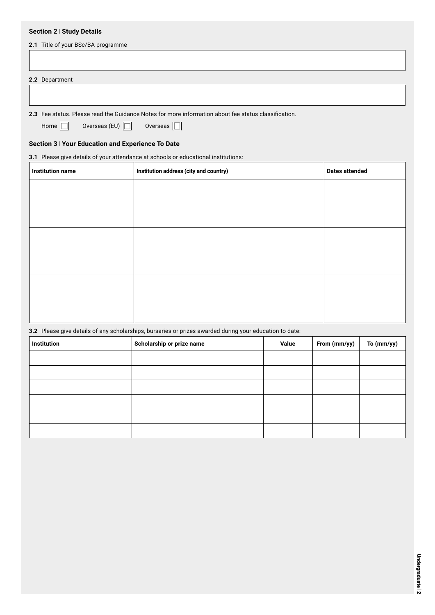## **Section 2** l **Study Details**

| 2.1 Title of your BSc/BA programme |  |  |
|------------------------------------|--|--|
|                                    |  |  |
|                                    |  |  |
| 2.2 Department                     |  |  |
|                                    |  |  |

**2.3** Fee status. Please read the Guidance Notes for more information about fee status classification.

Home  $\Box$  Overseas (EU)  $\Box$  Overseas  $\Box$ 

## **Section 3** l **Your Education and Experience To Date**

**3.1** Please give details of your attendance at schools or educational institutions:

| <b>Institution name</b> | Institution address (city and country) | <b>Dates attended</b> |
|-------------------------|----------------------------------------|-----------------------|
|                         |                                        |                       |
|                         |                                        |                       |
|                         |                                        |                       |
|                         |                                        |                       |
|                         |                                        |                       |
|                         |                                        |                       |
|                         |                                        |                       |
|                         |                                        |                       |
|                         |                                        |                       |

**3.2** Please give details of any scholarships, bursaries or prizes awarded during your education to date:

| <b>Institution</b> | Scholarship or prize name | Value | From (mm/yy) | To (mm/yy) |
|--------------------|---------------------------|-------|--------------|------------|
|                    |                           |       |              |            |
|                    |                           |       |              |            |
|                    |                           |       |              |            |
|                    |                           |       |              |            |
|                    |                           |       |              |            |
|                    |                           |       |              |            |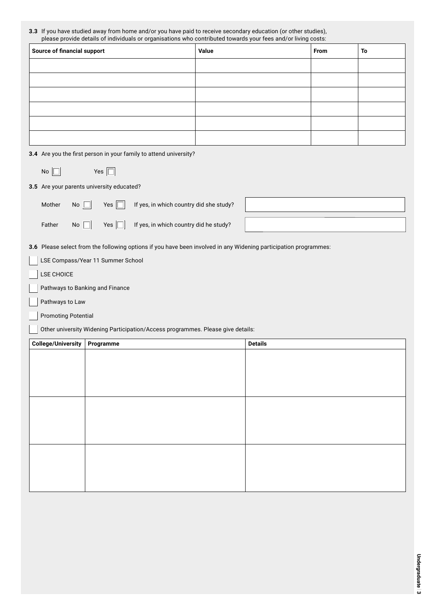| <b>3.3</b> If you have studied away from home and/or you have paid to receive secondary education (or other studies), |
|-----------------------------------------------------------------------------------------------------------------------|
| please provide details of individuals or organisations who contributed towards your fees and/or living costs:         |

| <b>Source of financial support</b> | Value | <b>From</b> | To |
|------------------------------------|-------|-------------|----|
|                                    |       |             |    |
|                                    |       |             |    |
|                                    |       |             |    |
|                                    |       |             |    |
|                                    |       |             |    |
|                                    |       |             |    |

| 3.4 Are you the first person in your family to attend university? |  |  |  |
|-------------------------------------------------------------------|--|--|--|
|                                                                   |  |  |  |

| Yes $\Gamma$ |  |  |
|--------------|--|--|
|--------------|--|--|

**3.5** Are your parents university educated?

No  $\square$ 

| Mother                     | No $\square$<br>Yes $\Box$        | If yes, in which country did she study?                                                                          |                |
|----------------------------|-----------------------------------|------------------------------------------------------------------------------------------------------------------|----------------|
| Father                     | $No \ \Box$<br>Yes $\Box$         | If yes, in which country did he study?                                                                           |                |
|                            |                                   | 3.6 Please select from the following options if you have been involved in any Widening participation programmes: |                |
|                            | LSE Compass/Year 11 Summer School |                                                                                                                  |                |
| LSE CHOICE                 |                                   |                                                                                                                  |                |
|                            | Pathways to Banking and Finance   |                                                                                                                  |                |
| Pathways to Law            |                                   |                                                                                                                  |                |
| <b>Promoting Potential</b> |                                   |                                                                                                                  |                |
|                            |                                   | Other university Widening Participation/Access programmes. Please give details:                                  |                |
|                            |                                   |                                                                                                                  |                |
| <b>College/University</b>  | Programme                         |                                                                                                                  | <b>Details</b> |
|                            |                                   |                                                                                                                  |                |
|                            |                                   |                                                                                                                  |                |
|                            |                                   |                                                                                                                  |                |
|                            |                                   |                                                                                                                  |                |
|                            |                                   |                                                                                                                  |                |
|                            |                                   |                                                                                                                  |                |
|                            |                                   |                                                                                                                  |                |
|                            |                                   |                                                                                                                  |                |
|                            |                                   |                                                                                                                  |                |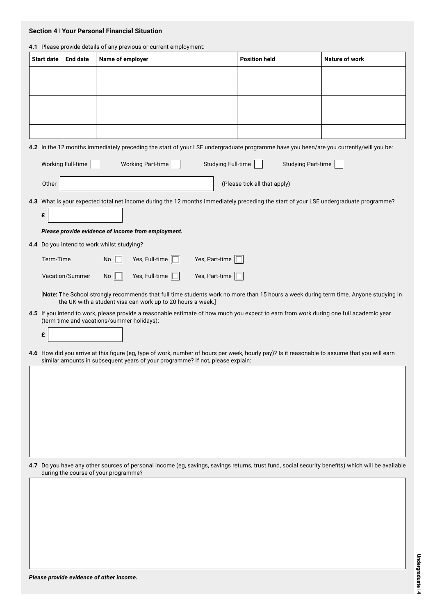#### **Section 4** l **Your Personal Financial Situation**

| 4.1 Please provide details of any previous or current employment: |           |                   |                                            |                                                                                |                           |                                                                                                                                               |                                                                                                                                                   |
|-------------------------------------------------------------------|-----------|-------------------|--------------------------------------------|--------------------------------------------------------------------------------|---------------------------|-----------------------------------------------------------------------------------------------------------------------------------------------|---------------------------------------------------------------------------------------------------------------------------------------------------|
| <b>Start date</b>                                                 |           | <b>End date</b>   | Name of employer                           |                                                                                |                           | <b>Position held</b>                                                                                                                          | <b>Nature of work</b>                                                                                                                             |
|                                                                   |           |                   |                                            |                                                                                |                           |                                                                                                                                               |                                                                                                                                                   |
|                                                                   |           |                   |                                            |                                                                                |                           |                                                                                                                                               |                                                                                                                                                   |
|                                                                   |           |                   |                                            |                                                                                |                           |                                                                                                                                               |                                                                                                                                                   |
|                                                                   |           |                   |                                            |                                                                                |                           |                                                                                                                                               |                                                                                                                                                   |
|                                                                   |           |                   |                                            |                                                                                |                           |                                                                                                                                               |                                                                                                                                                   |
|                                                                   |           |                   |                                            |                                                                                |                           |                                                                                                                                               |                                                                                                                                                   |
|                                                                   |           |                   |                                            |                                                                                |                           | 4.2 In the 12 months immediately preceding the start of your LSE undergraduate programme have you been/are you currently/will you be:         |                                                                                                                                                   |
|                                                                   |           | Working Full-time |                                            | <b>Working Part-time</b>                                                       | <b>Studying Full-time</b> | <b>Studying Part-time</b>                                                                                                                     |                                                                                                                                                   |
|                                                                   | Other     |                   |                                            |                                                                                |                           | (Please tick all that apply)                                                                                                                  |                                                                                                                                                   |
|                                                                   |           |                   |                                            |                                                                                |                           | 4.3 What is your expected total net income during the 12 months immediately preceding the start of your LSE undergraduate programme?          |                                                                                                                                                   |
| £                                                                 |           |                   |                                            |                                                                                |                           |                                                                                                                                               |                                                                                                                                                   |
|                                                                   |           |                   |                                            | Please provide evidence of income from employment.                             |                           |                                                                                                                                               |                                                                                                                                                   |
|                                                                   |           |                   | 4.4 Do you intend to work whilst studying? |                                                                                |                           |                                                                                                                                               |                                                                                                                                                   |
|                                                                   | Term-Time |                   | <b>No</b>                                  | Yes, Full-time $\square$                                                       | Yes, Part-time            |                                                                                                                                               |                                                                                                                                                   |
|                                                                   |           |                   |                                            |                                                                                |                           |                                                                                                                                               |                                                                                                                                                   |
|                                                                   |           | Vacation/Summer   | No                                         | Yes, Full-time $\Box$                                                          | Yes, Part-time            |                                                                                                                                               |                                                                                                                                                   |
|                                                                   |           |                   |                                            | the UK with a student visa can work up to 20 hours a week.]                    |                           |                                                                                                                                               | [Note: The School strongly recommends that full time students work no more than 15 hours a week during term time. Anyone studying in              |
|                                                                   |           |                   | (term time and vacations/summer holidays): |                                                                                |                           | 4.5 If you intend to work, please provide a reasonable estimate of how much you expect to earn from work during one full academic year        |                                                                                                                                                   |
| £                                                                 |           |                   |                                            |                                                                                |                           |                                                                                                                                               |                                                                                                                                                   |
|                                                                   |           |                   |                                            |                                                                                |                           |                                                                                                                                               |                                                                                                                                                   |
|                                                                   |           |                   |                                            | similar amounts in subsequent years of your programme? If not, please explain: |                           | 4.6 How did you arrive at this figure (eg, type of work, number of hours per week, hourly pay)? Is it reasonable to assume that you will earn |                                                                                                                                                   |
|                                                                   |           |                   |                                            |                                                                                |                           |                                                                                                                                               |                                                                                                                                                   |
|                                                                   |           |                   |                                            |                                                                                |                           |                                                                                                                                               |                                                                                                                                                   |
|                                                                   |           |                   |                                            |                                                                                |                           |                                                                                                                                               |                                                                                                                                                   |
|                                                                   |           |                   |                                            |                                                                                |                           |                                                                                                                                               |                                                                                                                                                   |
|                                                                   |           |                   |                                            |                                                                                |                           |                                                                                                                                               |                                                                                                                                                   |
|                                                                   |           |                   |                                            |                                                                                |                           |                                                                                                                                               |                                                                                                                                                   |
|                                                                   |           |                   |                                            |                                                                                |                           |                                                                                                                                               |                                                                                                                                                   |
|                                                                   |           |                   |                                            |                                                                                |                           |                                                                                                                                               |                                                                                                                                                   |
|                                                                   |           |                   | during the course of your programme?       |                                                                                |                           |                                                                                                                                               | 4.7 Do you have any other sources of personal income (eg, savings, savings returns, trust fund, social security benefits) which will be available |
|                                                                   |           |                   |                                            |                                                                                |                           |                                                                                                                                               |                                                                                                                                                   |
|                                                                   |           |                   |                                            |                                                                                |                           |                                                                                                                                               |                                                                                                                                                   |
|                                                                   |           |                   |                                            |                                                                                |                           |                                                                                                                                               |                                                                                                                                                   |
|                                                                   |           |                   |                                            |                                                                                |                           |                                                                                                                                               |                                                                                                                                                   |
|                                                                   |           |                   |                                            |                                                                                |                           |                                                                                                                                               |                                                                                                                                                   |
|                                                                   |           |                   |                                            |                                                                                |                           |                                                                                                                                               |                                                                                                                                                   |
|                                                                   |           |                   |                                            |                                                                                |                           |                                                                                                                                               |                                                                                                                                                   |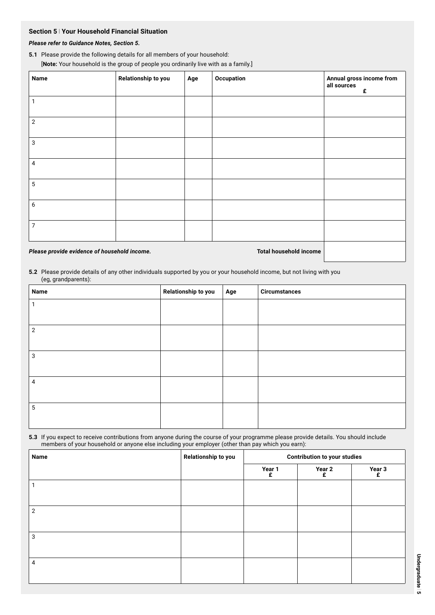## **Section 5** l **Your Household Financial Situation**

## *Please refer to Guidance Notes, Section 5.*

#### **5.1** Please provide the following details for all members of your household:

[**Note:** Your household is the group of people you ordinarily live with as a family.]

| <b>Name</b>                                  | Relationship to you | Age | Occupation                    | Annual gross income from<br>all sources<br>£ |
|----------------------------------------------|---------------------|-----|-------------------------------|----------------------------------------------|
|                                              |                     |     |                               |                                              |
| $\overline{2}$                               |                     |     |                               |                                              |
| 3                                            |                     |     |                               |                                              |
| 4                                            |                     |     |                               |                                              |
| 5                                            |                     |     |                               |                                              |
| 6                                            |                     |     |                               |                                              |
| 7                                            |                     |     |                               |                                              |
| Please provide evidence of household income. |                     |     | <b>Total household income</b> |                                              |

**5.2** Please provide details of any other individuals supported by you or your household income, but not living with you (eg, grandparents):

| $\sqrt{2}$<br><b>Name</b> | Relationship to you | Age | <b>Circumstances</b> |
|---------------------------|---------------------|-----|----------------------|
|                           |                     |     |                      |
|                           |                     |     |                      |
| $\overline{2}$            |                     |     |                      |
|                           |                     |     |                      |
| 3                         |                     |     |                      |
|                           |                     |     |                      |
| $\overline{4}$            |                     |     |                      |
|                           |                     |     |                      |
| 5                         |                     |     |                      |
|                           |                     |     |                      |

**5.3** If you expect to receive contributions from anyone during the course of your programme please provide details. You should include members of your household or anyone else including your employer (other than pay which you earn):

| Name           | Relationship to you | <b>Contribution to your studies</b> |             |             |  |
|----------------|---------------------|-------------------------------------|-------------|-------------|--|
|                |                     | Year 1<br>£                         | Year 2<br>£ | Year 3<br>£ |  |
|                |                     |                                     |             |             |  |
|                |                     |                                     |             |             |  |
| $\overline{2}$ |                     |                                     |             |             |  |
| 3              |                     |                                     |             |             |  |
|                |                     |                                     |             |             |  |
| 4              |                     |                                     |             |             |  |
|                |                     |                                     |             |             |  |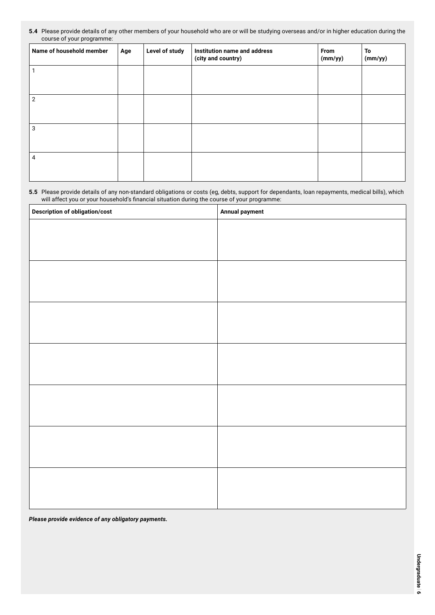#### **5.4** Please provide details of any other members of your household who are or will be studying overseas and/or in higher education during the course of your programme:

| Name of household member | Age | Level of study | Institution name and address<br>(city and country) | From<br>(mm/yy) | To<br>(mm/yy) |
|--------------------------|-----|----------------|----------------------------------------------------|-----------------|---------------|
|                          |     |                |                                                    |                 |               |
| 2                        |     |                |                                                    |                 |               |
| 3                        |     |                |                                                    |                 |               |
|                          |     |                |                                                    |                 |               |
| 4                        |     |                |                                                    |                 |               |
|                          |     |                |                                                    |                 |               |

#### **5.5** Please provide details of any non-standard obligations or costs (eg, debts, support for dependants, loan repayments, medical bills), which will affect you or your household's financial situation during the course of your programme:

| <b>Description of obligation/cost</b> | Annual payment |
|---------------------------------------|----------------|
|                                       |                |
|                                       |                |
|                                       |                |
|                                       |                |
|                                       |                |
|                                       |                |
|                                       |                |
|                                       |                |
|                                       |                |
|                                       |                |
|                                       |                |
|                                       |                |
|                                       |                |
|                                       |                |
|                                       |                |
|                                       |                |
|                                       |                |
|                                       |                |
|                                       |                |
|                                       |                |
|                                       |                |

*Please provide evidence of any obligatory payments.*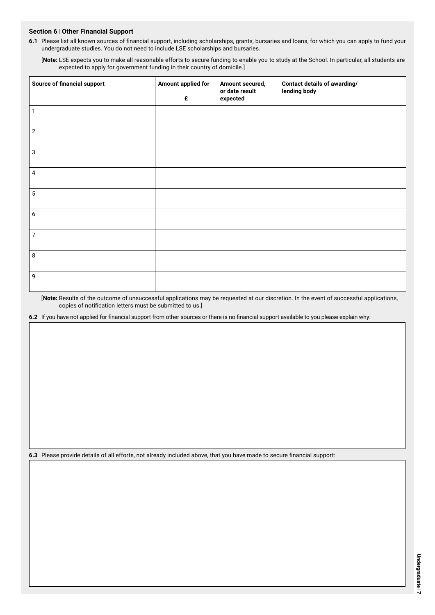#### **Section 6** l **Other Financial Support**

**6.1** Please list all known sources of financial support, including scholarships, grants, bursaries and loans, for which you can apply to fund your undergraduate studies. You do not need to include LSE scholarships and bursaries.

[**Note:** LSE expects you to make all reasonable efforts to secure funding to enable you to study at the School. In particular, all students are expected to apply for government funding in their country of domicile.]

| <b>Source of financial support</b> | Amount applied for<br>£ | Amount secured,<br>or date result<br>expected | <b>Contact details of awarding/</b><br>lending body |
|------------------------------------|-------------------------|-----------------------------------------------|-----------------------------------------------------|
| $\mathbf{1}$                       |                         |                                               |                                                     |
| $\mathbf{2}$                       |                         |                                               |                                                     |
| 3                                  |                         |                                               |                                                     |
| 4                                  |                         |                                               |                                                     |
| $5\phantom{.0}$                    |                         |                                               |                                                     |
| 6                                  |                         |                                               |                                                     |
| $\overline{7}$                     |                         |                                               |                                                     |
| 8                                  |                         |                                               |                                                     |
| 9                                  |                         |                                               |                                                     |

[**Note:** Results of the outcome of unsuccessful applications may be requested at our discretion. In the event of successful applications, copies of notification letters must be submitted to us.]

**6.2** If you have not applied for financial support from other sources or there is no financial support available to you please explain why:

**6.3** Please provide details of all efforts, not already included above, that you have made to secure financial support: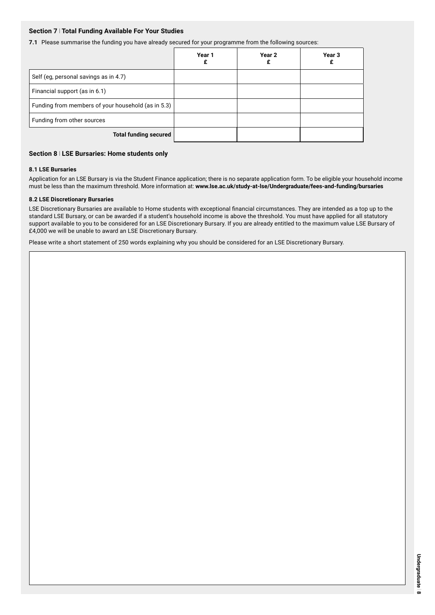#### **Section 7** l **Total Funding Available For Your Studies**

**7.1** Please summarise the funding you have already secured for your programme from the following sources:

|                                                    | Year 1 | Year 2 | Year 3 |
|----------------------------------------------------|--------|--------|--------|
| Self (eg, personal savings as in 4.7)              |        |        |        |
| Financial support (as in 6.1)                      |        |        |        |
| Funding from members of your household (as in 5.3) |        |        |        |
| Funding from other sources                         |        |        |        |
| <b>Total funding secured</b>                       |        |        |        |

#### **Section 8** l **LSE Bursaries: Home students only**

#### **8.1 LSE Bursaries**

Application for an LSE Bursary is via the Student Finance application; there is no separate application form. To be eligible your household income must be less than the maximum threshold. More information at: **www.lse.ac.uk/study-at-lse/Undergraduate/fees-and-funding/bursaries**

#### **8.2 LSE Discretionary Bursaries**

LSE Discretionary Bursaries are available to Home students with exceptional financial circumstances. They are intended as a top up to the standard LSE Bursary, or can be awarded if a student's household income is above the threshold. You must have applied for all statutory support available to you to be considered for an LSE Discretionary Bursary. If you are already entitled to the maximum value LSE Bursary of £4,000 we will be unable to award an LSE Discretionary Bursary.

Please write a short statement of 250 words explaining why you should be considered for an LSE Discretionary Bursary.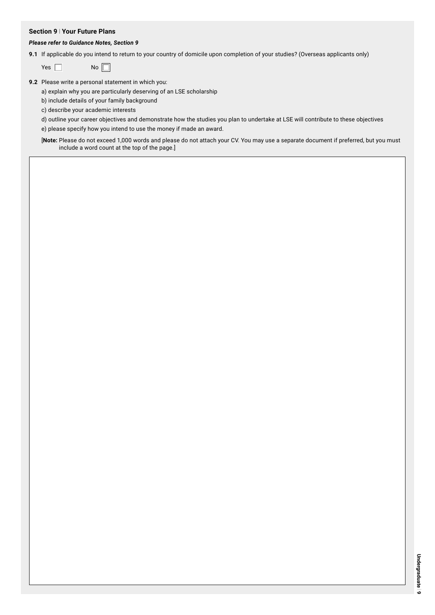#### **Section 9** l **Your Future Plans**

#### *Please refer to Guidance Notes, Section 9*

**9.1** If applicable do you intend to return to your country of domicile upon completion of your studies? (Overseas applicants only)

**9.2** Please write a personal statement in which you:

a) explain why you are particularly deserving of an LSE scholarship

b) include details of your family background

c) describe your academic interests

d) outline your career objectives and demonstrate how the studies you plan to undertake at LSE will contribute to these objectives e) please specify how you intend to use the money if made an award.

[**Note:** Please do not exceed 1,000 words and please do not attach your CV. You may use a separate document if preferred, but you must include a word count at the top of the page.]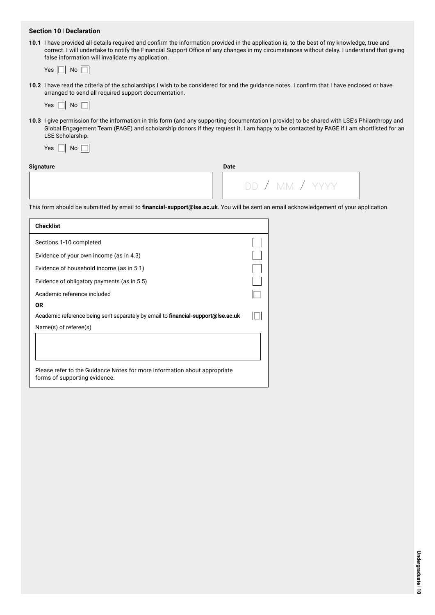#### **Section 10** l **Declaration**

**10.1** I have provided all details required and confirm the information provided in the application is, to the best of my knowledge, true and correct. I will undertake to notify the Financial Support Office of any changes in my circumstances without delay. I understand that giving false information will invalidate my application.

| Yes. | No |
|------|----|
|------|----|

**10.2** I have read the criteria of the scholarships I wish to be considered for and the guidance notes. I confirm that I have enclosed or have arranged to send all required support documentation.

**10.3** I give permission for the information in this form (and any supporting documentation I provide) to be shared with LSE's Philanthropy and Global Engagement Team (PAGE) and scholarship donors if they request it. I am happy to be contacted by PAGE if I am shortlisted for an LSE Scholarship.

| Yes | No |  |  |
|-----|----|--|--|
|-----|----|--|--|

## **Signature Date**

| ---- |  |  |                |  |
|------|--|--|----------------|--|
|      |  |  | DD / MM / YYYY |  |
|      |  |  |                |  |

This form should be submitted by email to **financial-support@lse.ac.uk**. You will be sent an email acknowledgement of your application.

| <b>Checklist</b>                                                                                           |  |
|------------------------------------------------------------------------------------------------------------|--|
| Sections 1-10 completed                                                                                    |  |
| Evidence of your own income (as in 4.3)                                                                    |  |
| Evidence of household income (as in 5.1)                                                                   |  |
| Evidence of obligatory payments (as in 5.5)                                                                |  |
| Academic reference included                                                                                |  |
| 0R                                                                                                         |  |
| Academic reference being sent separately by email to <b>financial-support@lse.ac.uk</b>                    |  |
| $Name(s)$ of referee $(s)$                                                                                 |  |
|                                                                                                            |  |
|                                                                                                            |  |
|                                                                                                            |  |
| Please refer to the Guidance Notes for more information about appropriate<br>forms of supporting evidence. |  |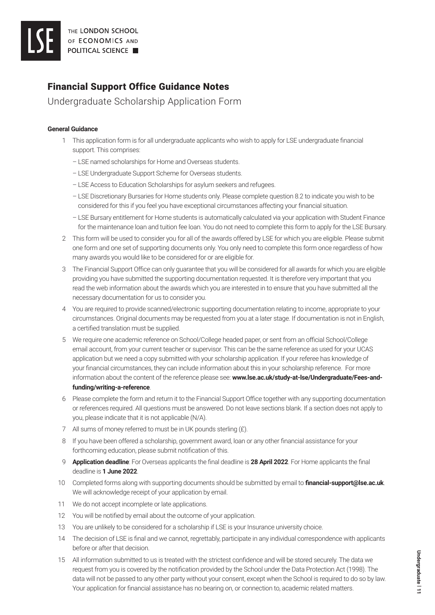## Financial Support Office Guidance Notes

Undergraduate Scholarship Application Form

## **General Guidance**

- 1 This application form is for all undergraduate applicants who wish to apply for LSE undergraduate financial support. This comprises:
	- LSE named scholarships for Home and Overseas students.
	- LSE Undergraduate Support Scheme for Overseas students.
	- LSE Access to Education Scholarships for asylum seekers and refugees.
	- LSE Discretionary Bursaries for Home students only. Please complete question 8.2 to indicate you wish to be considered for this if you feel you have exceptional circumstances affecting your financial situation.
	- LSE Bursary entitlement for Home students is automatically calculated via your application with Student Finance for the maintenance loan and tuition fee loan. You do not need to complete this form to apply for the LSE Bursary.
- 2 This form will be used to consider you for all of the awards offered by LSE for which you are eligible. Please submit one form and one set of supporting documents only. You only need to complete this form once regardless of how many awards you would like to be considered for or are eligible for.
- 3 The Financial Support Office can only guarantee that you will be considered for all awards for which you are eligible providing you have submitted the supporting documentation requested. It is therefore very important that you read the web information about the awards which you are interested in to ensure that you have submitted all the necessary documentation for us to consider you.
- 4 You are required to provide scanned/electronic supporting documentation relating to income, appropriate to your circumstances. Original documents may be requested from you at a later stage. If documentation is not in English, a certified translation must be supplied.
- 5 We require one academic reference on School/College headed paper, or sent from an official School/College email account, from your current teacher or supervisor. This can be the same reference as used for your UCAS application but we need a copy submitted with your scholarship application. If your referee has knowledge of your financial circumstances, they can include information about this in your scholarship reference. For more information about the content of the reference please see: **www.lse.ac.uk/study-at-lse/Undergraduate/Fees-andfunding/writing-a-reference**.
- 6 Please complete the form and return it to the Financial Support Office together with any supporting documentation or references required. All questions must be answered. Do not leave sections blank. If a section does not apply to you, please indicate that it is not applicable (N/A).
- 7 All sums of money referred to must be in UK pounds sterling (£).
- 8 If you have been offered a scholarship, government award, loan or any other financial assistance for your forthcoming education, please submit notification of this.
- 9 **Application deadline**: For Overseas applicants the final deadline is **28 April 2022**. For Home applicants the final deadline is **1 June 2022**.
- 10 Completed forms along with supporting documents should be submitted by email to **financial-support@lse.ac.uk**. We will acknowledge receipt of your application by email.
- 11 We do not accept incomplete or late applications.
- 12 You will be notified by email about the outcome of your application.
- 13 You are unlikely to be considered for a scholarship if LSE is your Insurance university choice.
- 14 The decision of LSE is final and we cannot, regrettably, participate in any individual correspondence with applicants before or after that decision.
- 15 All information submitted to us is treated with the strictest confidence and will be stored securely. The data we request from you is covered by the notification provided by the School under the Data Protection Act (1998). The data will not be passed to any other party without your consent, except when the School is required to do so by law. Your application for financial assistance has no bearing on, or connection to, academic related matters.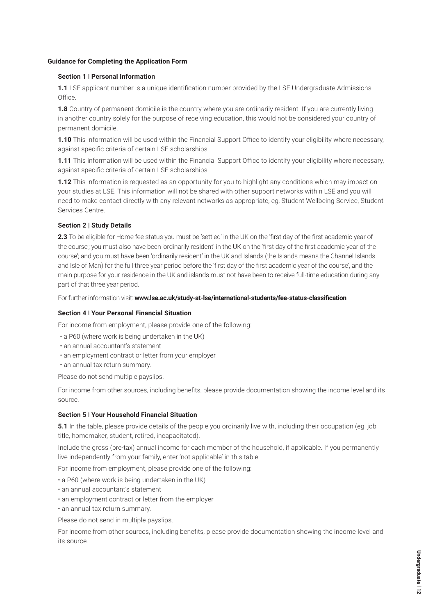#### **Guidance for Completing the Application Form**

#### **Section 1** l **Personal Information**

**1.1** LSE applicant number is a unique identification number provided by the LSE Undergraduate Admissions Office.

**1.8** Country of permanent domicile is the country where you are ordinarily resident. If you are currently living in another country solely for the purpose of receiving education, this would not be considered your country of permanent domicile.

**1.10** This information will be used within the Financial Support Office to identify your eligibility where necessary, against specific criteria of certain LSE scholarships.

**1.11** This information will be used within the Financial Support Office to identify your eligibility where necessary, against specific criteria of certain LSE scholarships.

**1.12** This information is requested as an opportunity for you to highlight any conditions which may impact on your studies at LSE. This information will not be shared with other support networks within LSE and you will need to make contact directly with any relevant networks as appropriate, eg, Student Wellbeing Service, Student Services Centre.

#### **Section 2 | Study Details**

**2.3** To be eligible for Home fee status you must be 'settled' in the UK on the 'first day of the first academic year of the course'; you must also have been 'ordinarily resident' in the UK on the 'first day of the first academic year of the course'; and you must have been 'ordinarily resident' in the UK and Islands (the Islands means the Channel Islands and Isle of Man) for the full three year period before the 'first day of the first academic year of the course', and the main purpose for your residence in the UK and islands must not have been to receive full-time education during any part of that three year period.

For further information visit: **www.lse.ac.uk/study-at-lse/international-students/fee-status-classification**

#### **Section 4** l **Your Personal Financial Situation**

For income from employment, please provide one of the following:

- a P60 (where work is being undertaken in the UK)
- an annual accountant's statement
- an employment contract or letter from your employer
- an annual tax return summary.

Please do not send multiple payslips.

For income from other sources, including benefits, please provide documentation showing the income level and its source.

#### **Section 5** l **Your Household Financial Situation**

**5.1** In the table, please provide details of the people you ordinarily live with, including their occupation (eq, job title, homemaker, student, retired, incapacitated).

Include the gross (pre-tax) annual income for each member of the household, if applicable. If you permanently live independently from your family, enter 'not applicable' in this table.

For income from employment, please provide one of the following:

- a P60 (where work is being undertaken in the UK)
- an annual accountant's statement
- an employment contract or letter from the employer
- an annual tax return summary.

Please do not send in multiple payslips.

For income from other sources, including benefits, please provide documentation showing the income level and its source.